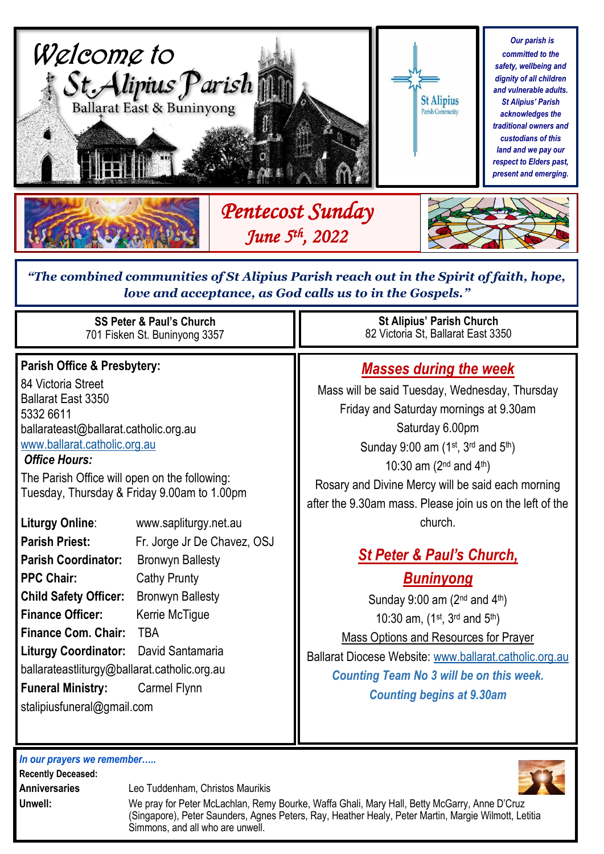

# *love and acceptance, as God calls us to in the Gospels."*

| <b>SS Peter &amp; Paul's Church</b><br>701 Fisken St. Buninyong 3357                                                                                                                                                                                                                                                                                       |                                                                                                                                                                       | <b>St Alipius' Parish Church</b><br>82 Victoria St, Ballarat East 3350                                                                                                                                                                                                                                                                                         |
|------------------------------------------------------------------------------------------------------------------------------------------------------------------------------------------------------------------------------------------------------------------------------------------------------------------------------------------------------------|-----------------------------------------------------------------------------------------------------------------------------------------------------------------------|----------------------------------------------------------------------------------------------------------------------------------------------------------------------------------------------------------------------------------------------------------------------------------------------------------------------------------------------------------------|
| <b>Parish Office &amp; Presbytery:</b><br>84 Victoria Street<br><b>Ballarat East 3350</b><br>5332 6611<br>ballarateast@ballarat.catholic.org.au<br>www.ballarat.catholic.org.au<br><b>Office Hours:</b><br>The Parish Office will open on the following:<br>Tuesday, Thursday & Friday 9.00am to 1.00pm<br><b>Liturgy Online:</b><br>www.sapliturgy.net.au |                                                                                                                                                                       | <b>Masses during the week</b><br>Mass will be said Tuesday, Wednesday, Thursday<br>Friday and Saturday mornings at 9.30am<br>Saturday 6.00pm<br>Sunday 9:00 am $(1^{st}, 3^{rd}$ and $5^{th})$<br>10:30 am $(2^{nd}$ and $4^{th})$<br>Rosary and Divine Mercy will be said each morning<br>after the 9.30am mass. Please join us on the left of the<br>church. |
| <b>Parish Priest:</b><br><b>Parish Coordinator:</b><br><b>PPC Chair:</b><br><b>Child Safety Officer:</b><br><b>Finance Officer:</b><br><b>Finance Com. Chair:</b><br><b>Liturgy Coordinator:</b><br>ballarateastliturgy@ballarat.catholic.org.au<br><b>Funeral Ministry:</b><br>stalipiusfuneral@gmail.com                                                 | Fr. Jorge Jr De Chavez, OSJ<br><b>Bronwyn Ballesty</b><br>Cathy Prunty<br><b>Bronwyn Ballesty</b><br>Kerrie McTigue<br><b>TBA</b><br>David Santamaria<br>Carmel Flynn | <b>St Peter &amp; Paul's Church,</b><br><u>Buninyong</u><br>Sunday 9:00 am $(2^{nd}$ and $4^{th})$<br>10:30 am, $(1^{st}, 3^{rd}$ and $5^{th})$<br><b>Mass Options and Resources for Prayer</b><br>Ballarat Diocese Website: www.ballarat.catholic.org.au<br><b>Counting Team No 3 will be on this week.</b><br><b>Counting begins at 9.30am</b>               |

*In our prayers we remember…..* **Recently Deceased: Anniversaries** Leo Tuddenham, Christos Maurikis **Unwell:** We pray for Peter McLachlan, Remy Bourke, Waffa Ghali, Mary Hall, Betty McGarry, Anne D'Cruz (Singapore), Peter Saunders, Agnes Peters, Ray, Heather Healy, Peter Martin, Margie Wilmott, Letitia Simmons, and all who are unwell.

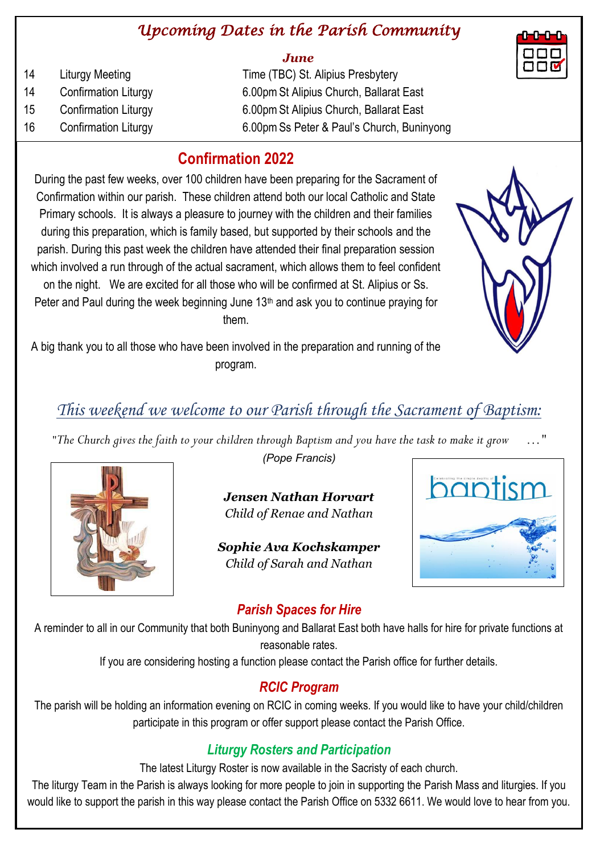## *Upcoming Dates in the Parish Community*

#### *June*

| 14 | Liturgy Meeting             | Time (TBC) St. Alipius Presbytery          |
|----|-----------------------------|--------------------------------------------|
| 14 | <b>Confirmation Liturgy</b> | 6.00pm St Alipius Church, Ballarat East    |
| 15 | <b>Confirmation Liturgy</b> | 6.00pm St Alipius Church, Ballarat East    |
| 16 | <b>Confirmation Liturgy</b> | 6.00pm Ss Peter & Paul's Church, Buninyong |
|    |                             |                                            |

## **Confirmation 2022**

During the past few weeks, over 100 children have been preparing for the Sacrament of Confirmation within our parish. These children attend both our local Catholic and State Primary schools. It is always a pleasure to journey with the children and their families during this preparation, which is family based, but supported by their schools and the parish. During this past week the children have attended their final preparation session which involved a run through of the actual sacrament, which allows them to feel confident on the night. We are excited for all those who will be confirmed at St. Alipius or Ss. Peter and Paul during the week beginning June  $13<sup>th</sup>$  and ask you to continue praying for them.

A big thank you to all those who have been involved in the preparation and running of the program.

# *This weekend we welcome to our Parish through the Sacrament of Baptism:*

*"The Church gives the faith to your children through Baptism and you have the task to make it grow …"*



*(Pope Francis)* 

*Jensen Nathan Horvart Child of Renae and Nathan*

*Sophie Ava Kochskamper Child of Sarah and Nathan*



## *Parish Spaces for Hire*

A reminder to all in our Community that both Buninyong and Ballarat East both have halls for hire for private functions at reasonable rates.

If you are considering hosting a function please contact the Parish office for further details.

## *RCIC Program*

The parish will be holding an information evening on RCIC in coming weeks. If you would like to have your child/children participate in this program or offer support please contact the Parish Office.

## *Liturgy Rosters and Participation*

The latest Liturgy Roster is now available in the Sacristy of each church.

The liturgy Team in the Parish is always looking for more people to join in supporting the Parish Mass and liturgies. If you would like to support the parish in this way please contact the Parish Office on 5332 6611. We would love to hear from you.



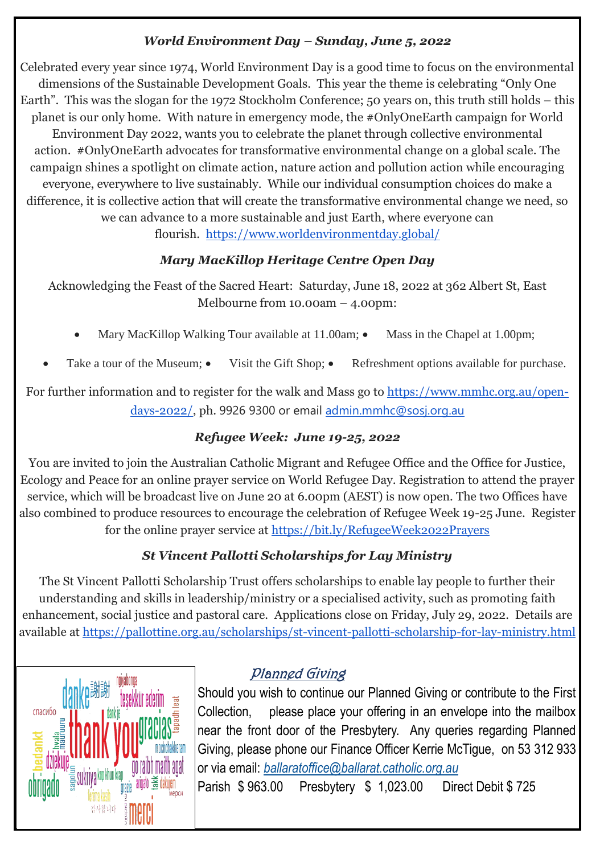#### *World Environment Day – Sunday, June 5, 2022*

Celebrated every year since 1974, World Environment Day is a good time to focus on the environmental dimensions of the Sustainable Development Goals. This year the theme is celebrating "Only One Earth". This was the slogan for the 1972 Stockholm Conference; 50 years on, this truth still holds – this planet is our only home. With nature in emergency mode, the #OnlyOneEarth campaign for World Environment Day 2022, wants you to celebrate the planet through collective environmental action. #OnlyOneEarth advocates for transformative environmental change on a global scale. The campaign shines a spotlight on climate action, nature action and pollution action while encouraging everyone, everywhere to live sustainably. While our individual consumption choices do make a difference, it is collective action that will create the transformative environmental change we need, so we can advance to a more sustainable and just Earth, where everyone can flourish. <https://www.worldenvironmentday.global/>

### *Mary MacKillop Heritage Centre Open Day*

Acknowledging the Feast of the Sacred Heart: Saturday, June 18, 2022 at 362 Albert St, East Melbourne from 10.00am – 4.00pm:

- Mary MacKillop Walking Tour available at  $11.00$ am;  $\bullet$  Mass in the Chapel at 1.00pm;
- Take a tour of the Museum; Visit the Gift Shop; Refreshment options available for purchase.

For further information and to register for the walk and Mass go to [https://www.mmhc.org.au/open](https://www.mmhc.org.au/open-days-2022/)[days-2022/,](https://www.mmhc.org.au/open-days-2022/) ph. 9926 9300 or email [admin.mmhc@sosj.org.au](mailto:admin.mmhc@sosj.org.au)

### *Refugee Week: June 19-25, 2022*

You are invited to join the Australian Catholic Migrant and Refugee Office and the Office for Justice, Ecology and Peace for an online prayer service on World Refugee Day. Registration to attend the prayer service, which will be broadcast live on June 20 at 6.00pm (AEST) is now open. The two Offices have also combined to produce resources to encourage the celebration of Refugee Week 19-25 June. Register for the online prayer service at <https://bit.ly/RefugeeWeek2022Prayers>

### *St Vincent Pallotti Scholarships for Lay Ministry*

The St Vincent Pallotti Scholarship Trust offers scholarships to enable lay people to further their understanding and skills in leadership/ministry or a specialised activity, such as promoting faith enhancement, social justice and pastoral care. Applications close on Friday, July 29, 2022. Details are available at <https://pallottine.org.au/scholarships/st-vincent-pallotti-scholarship-for-lay-ministry.html>



## Planned Giving

Should you wish to continue our Planned Giving or contribute to the First Collection, please place your offering in an envelope into the mailbox near the front door of the Presbytery. Any queries regarding Planned Giving, please phone our Finance Officer Kerrie McTigue, on 53 312 933 or via email: *[ballaratoffice@ballarat.catholic.org.au](mailto:ballaratoffice@ballarat.catholic.org.au)*

Parish \$ 963.00 Presbytery \$ 1,023.00 Direct Debit \$ 725